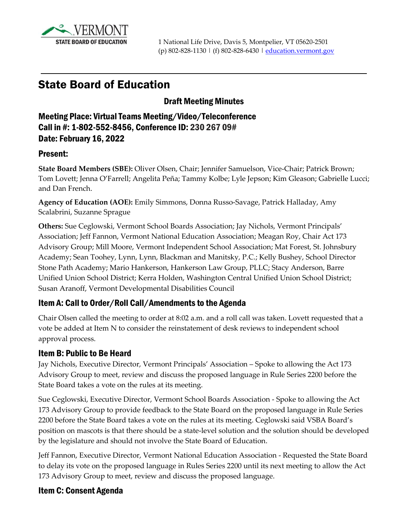

# State Board of Education

### Draft Meeting Minutes

Meeting Place: Virtual Teams Meeting/Video/Teleconference Call in #: 1-802-552-8456, Conference ID: 230 267 09# Date: February 16, 2022

#### Present:

**State Board Members (SBE):** Oliver Olsen, Chair; Jennifer Samuelson, Vice-Chair; Patrick Brown; Tom Lovett; Jenna O'Farrell; Angelita Peña; Tammy Kolbe; Lyle Jepson; Kim Gleason; Gabrielle Lucci; and Dan French.

**Agency of Education (AOE):** Emily Simmons, Donna Russo-Savage, Patrick Halladay, Amy Scalabrini, Suzanne Sprague

**Others:** Sue Ceglowski, Vermont School Boards Association; Jay Nichols, Vermont Principals' Association; Jeff Fannon, Vermont National Education Association; Meagan Roy, Chair Act 173 Advisory Group; Mill Moore, Vermont Independent School Association; Mat Forest, St. Johnsbury Academy; Sean Toohey, Lynn, Lynn, Blackman and Manitsky, P.C.; Kelly Bushey, School Director Stone Path Academy; Mario Hankerson, Hankerson Law Group, PLLC; Stacy Anderson, Barre Unified Union School District; Kerra Holden, Washington Central Unified Union School District; Susan Aranoff, Vermont Developmental Disabilities Council

### Item A: Call to Order/Roll Call/Amendments to the Agenda

Chair Olsen called the meeting to order at 8:02 a.m. and a roll call was taken. Lovett requested that a vote be added at Item N to consider the reinstatement of desk reviews to independent school approval process.

#### Item B: Public to Be Heard

Jay Nichols, Executive Director, Vermont Principals' Association – Spoke to allowing the Act 173 Advisory Group to meet, review and discuss the proposed language in Rule Series 2200 before the State Board takes a vote on the rules at its meeting.

Sue Ceglowski, Executive Director, Vermont School Boards Association - Spoke to allowing the Act 173 Advisory Group to provide feedback to the State Board on the proposed language in Rule Series 2200 before the State Board takes a vote on the rules at its meeting. Ceglowski said VSBA Board's position on mascots is that there should be a state-level solution and the solution should be developed by the legislature and should not involve the State Board of Education.

Jeff Fannon, Executive Director, Vermont National Education Association - Requested the State Board to delay its vote on the proposed language in Rules Series 2200 until its next meeting to allow the Act 173 Advisory Group to meet, review and discuss the proposed language.

### Item C: Consent Agenda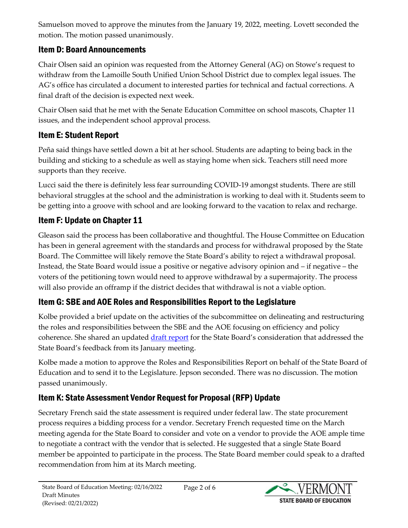Samuelson moved to approve the minutes from the January 19, 2022, meeting. Lovett seconded the motion. The motion passed unanimously.

## Item D: Board Announcements

Chair Olsen said an opinion was requested from the Attorney General (AG) on Stowe's request to withdraw from the Lamoille South Unified Union School District due to complex legal issues. The AG's office has circulated a document to interested parties for technical and factual corrections. A final draft of the decision is expected next week.

Chair Olsen said that he met with the Senate Education Committee on school mascots, Chapter 11 issues, and the independent school approval process.

## Item E: Student Report

Peña said things have settled down a bit at her school. Students are adapting to being back in the building and sticking to a schedule as well as staying home when sick. Teachers still need more supports than they receive.

Lucci said the there is definitely less fear surrounding COVID-19 amongst students. There are still behavioral struggles at the school and the administration is working to deal with it. Students seem to be getting into a groove with school and are looking forward to the vacation to relax and recharge.

# Item F: Update on Chapter 11

Gleason said the process has been collaborative and thoughtful. The House Committee on Education has been in general agreement with the standards and process for withdrawal proposed by the State Board. The Committee will likely remove the State Board's ability to reject a withdrawal proposal. Instead, the State Board would issue a positive or negative advisory opinion and – if negative – the voters of the petitioning town would need to approve withdrawal by a supermajority. The process will also provide an offramp if the district decides that withdrawal is not a viable option.

## Item G: SBE and AOE Roles and Responsibilities Report to the Legislature

Kolbe provided a brief update on the activities of the subcommittee on delineating and restructuring the roles and responsibilities between the SBE and the AOE focusing on efficiency and policy coherence. She shared an updated [draft report](https://education.vermont.gov/documents/state-board-item-g-02-16-22) for the State Board's consideration that addressed the State Board's feedback from its January meeting.

Kolbe made a motion to approve the Roles and Responsibilities Report on behalf of the State Board of Education and to send it to the Legislature. Jepson seconded. There was no discussion. The motion passed unanimously.

# Item K: State Assessment Vendor Request for Proposal (RFP) Update

Secretary French said the state assessment is required under federal law. The state procurement process requires a bidding process for a vendor. Secretary French requested time on the March meeting agenda for the State Board to consider and vote on a vendor to provide the AOE ample time to negotiate a contract with the vendor that is selected. He suggested that a single State Board member be appointed to participate in the process. The State Board member could speak to a drafted recommendation from him at its March meeting.

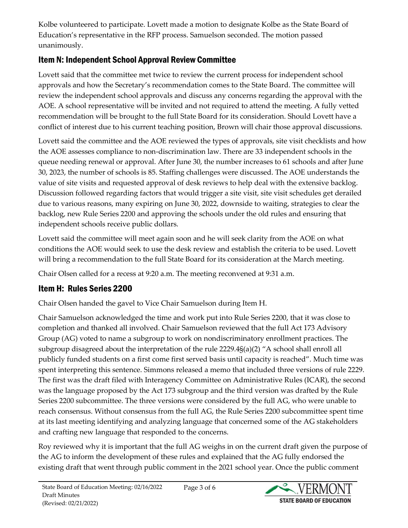Kolbe volunteered to participate. Lovett made a motion to designate Kolbe as the State Board of Education's representative in the RFP process. Samuelson seconded. The motion passed unanimously.

# Item N: Independent School Approval Review Committee

Lovett said that the committee met twice to review the current process for independent school approvals and how the Secretary's recommendation comes to the State Board. The committee will review the independent school approvals and discuss any concerns regarding the approval with the AOE. A school representative will be invited and not required to attend the meeting. A fully vetted recommendation will be brought to the full State Board for its consideration. Should Lovett have a conflict of interest due to his current teaching position, Brown will chair those approval discussions.

Lovett said the committee and the AOE reviewed the types of approvals, site visit checklists and how the AOE assesses compliance to non-discrimination law. There are 33 independent schools in the queue needing renewal or approval. After June 30, the number increases to 61 schools and after June 30, 2023, the number of schools is 85. Staffing challenges were discussed. The AOE understands the value of site visits and requested approval of desk reviews to help deal with the extensive backlog. Discussion followed regarding factors that would trigger a site visit, site visit schedules get derailed due to various reasons, many expiring on June 30, 2022, downside to waiting, strategies to clear the backlog, new Rule Series 2200 and approving the schools under the old rules and ensuring that independent schools receive public dollars.

Lovett said the committee will meet again soon and he will seek clarity from the AOE on what conditions the AOE would seek to use the desk review and establish the criteria to be used. Lovett will bring a recommendation to the full State Board for its consideration at the March meeting.

Chair Olsen called for a recess at 9:20 a.m. The meeting reconvened at 9:31 a.m.

## Item H: Rules Series 2200

Chair Olsen handed the gavel to Vice Chair Samuelson during Item H.

Chair Samuelson acknowledged the time and work put into Rule Series 2200, that it was close to completion and thanked all involved. Chair Samuelson reviewed that the full Act 173 Advisory Group (AG) voted to name a subgroup to work on nondiscriminatory enrollment practices. The subgroup disagreed about the interpretation of the rule 2229.4§(a)(2) "A school shall enroll all publicly funded students on a first come first served basis until capacity is reached". Much time was spent interpreting this sentence. Simmons released a memo that included three versions of rule 2229. The first was the draft filed with Interagency Committee on Administrative Rules (ICAR), the second was the language proposed by the Act 173 subgroup and the third version was drafted by the Rule Series 2200 subcommittee. The three versions were considered by the full AG, who were unable to reach consensus. Without consensus from the full AG, the Rule Series 2200 subcommittee spent time at its last meeting identifying and analyzing language that concerned some of the AG stakeholders and crafting new language that responded to the concerns.

Roy reviewed why it is important that the full AG weighs in on the current draft given the purpose of the AG to inform the development of these rules and explained that the AG fully endorsed the existing draft that went through public comment in the 2021 school year. Once the public comment

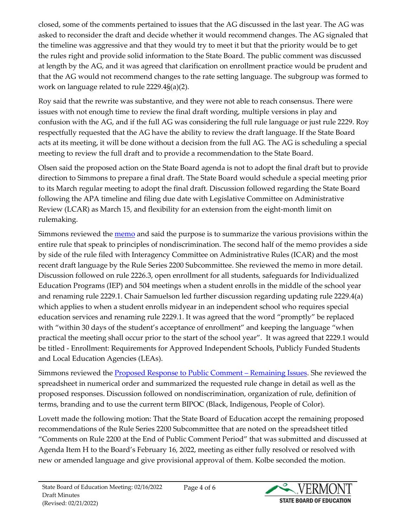closed, some of the comments pertained to issues that the AG discussed in the last year. The AG was asked to reconsider the draft and decide whether it would recommend changes. The AG signaled that the timeline was aggressive and that they would try to meet it but that the priority would be to get the rules right and provide solid information to the State Board. The public comment was discussed at length by the AG, and it was agreed that clarification on enrollment practice would be prudent and that the AG would not recommend changes to the rate setting language. The subgroup was formed to work on language related to rule 2229.4§(a)(2).

Roy said that the rewrite was substantive, and they were not able to reach consensus. There were issues with not enough time to review the final draft wording, multiple versions in play and confusion with the AG, and if the full AG was considering the full rule language or just rule 2229. Roy respectfully requested that the AG have the ability to review the draft language. If the State Board acts at its meeting, it will be done without a decision from the full AG. The AG is scheduling a special meeting to review the full draft and to provide a recommendation to the State Board.

Olsen said the proposed action on the State Board agenda is not to adopt the final draft but to provide direction to Simmons to prepare a final draft. The State Board would schedule a special meeting prior to its March regular meeting to adopt the final draft. Discussion followed regarding the State Board following the APA timeline and filing due date with Legislative Committee on Administrative Review (LCAR) as March 15, and flexibility for an extension from the eight-month limit on rulemaking.

Simmons reviewed the **memo** and said the purpose is to summarize the various provisions within the entire rule that speak to principles of nondiscrimination. The second half of the memo provides a side by side of the rule filed with Interagency Committee on Administrative Rules (ICAR) and the most recent draft language by the Rule Series 2200 Subcommittee. She reviewed the memo in more detail. Discussion followed on rule 2226.3, open enrollment for all students, safeguards for Individualized Education Programs (IEP) and 504 meetings when a student enrolls in the middle of the school year and renaming rule 2229.1. Chair Samuelson led further discussion regarding updating rule 2229.4(a) which applies to when a student enrolls midyear in an independent school who requires special education services and renaming rule 2229.1. It was agreed that the word "promptly" be replaced with "within 30 days of the student's acceptance of enrollment" and keeping the language "when practical the meeting shall occur prior to the start of the school year". It was agreed that 2229.1 would be titled - Enrollment: Requirements for Approved Independent Schools, Publicly Funded Students and Local Education Agencies (LEAs).

Simmons reviewed the **Proposed Response to Public Comment – Remaining Issues**. She reviewed the spreadsheet in numerical order and summarized the requested rule change in detail as well as the proposed responses. Discussion followed on nondiscrimination, organization of rule, definition of terms, branding and to use the current term BIPOC (Black, Indigenous, People of Color).

Lovett made the following motion: That the State Board of Education accept the remaining proposed recommendations of the Rule Series 2200 Subcommittee that are noted on the spreadsheet titled "Comments on Rule 2200 at the End of Public Comment Period" that was submitted and discussed at Agenda Item H to the Board's February 16, 2022, meeting as either fully resolved or resolved with new or amended language and give provisional approval of them. Kolbe seconded the motion.

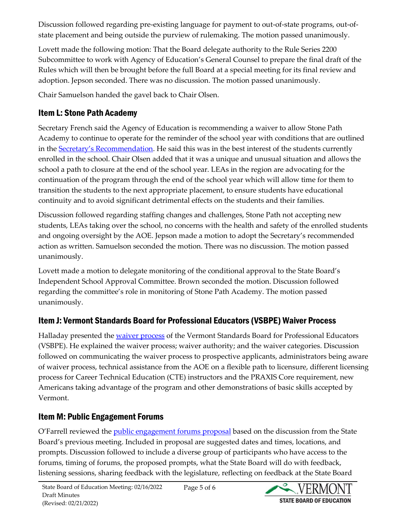Discussion followed regarding pre-existing language for payment to out-of-state programs, out-ofstate placement and being outside the purview of rulemaking. The motion passed unanimously.

Lovett made the following motion: That the Board delegate authority to the Rule Series 2200 Subcommittee to work with Agency of Education's General Counsel to prepare the final draft of the Rules which will then be brought before the full Board at a special meeting for its final review and adoption. Jepson seconded. There was no discussion. The motion passed unanimously.

Chair Samuelson handed the gavel back to Chair Olsen.

## Item L: Stone Path Academy

Secretary French said the Agency of Education is recommending a waiver to allow Stone Path Academy to continue to operate for the reminder of the school year with conditions that are outlined in the [Secretary's Recommendation](https://education.vermont.gov/documents/state-board-item-l-1-02-16-22). He said this was in the best interest of the students currently enrolled in the school. Chair Olsen added that it was a unique and unusual situation and allows the school a path to closure at the end of the school year. LEAs in the region are advocating for the continuation of the program through the end of the school year which will allow time for them to transition the students to the next appropriate placement, to ensure students have educational continuity and to avoid significant detrimental effects on the students and their families.

Discussion followed regarding staffing changes and challenges, Stone Path not accepting new students, LEAs taking over the school, no concerns with the health and safety of the enrolled students and ongoing oversight by the AOE. Jepson made a motion to adopt the Secretary's recommended action as written. Samuelson seconded the motion. There was no discussion. The motion passed unanimously.

Lovett made a motion to delegate monitoring of the conditional approval to the State Board's Independent School Approval Committee. Brown seconded the motion. Discussion followed regarding the committee's role in monitoring of Stone Path Academy. The motion passed unanimously.

## Item J: Vermont Standards Board for Professional Educators (VSBPE) Waiver Process

Halladay presented the [waiver process](https://education.vermont.gov/documents/state-board-item-j-02-16-22) of the Vermont Standards Board for Professional Educators (VSBPE). He explained the waiver process; waiver authority; and the waiver categories. Discussion followed on communicating the waiver process to prospective applicants, administrators being aware of waiver process, technical assistance from the AOE on a flexible path to licensure, different licensing process for Career Technical Education (CTE) instructors and the PRAXIS Core requirement, new Americans taking advantage of the program and other demonstrations of basic skills accepted by Vermont.

## Item M: Public Engagement Forums

O'Farrell reviewed the **public engagement forums proposal** based on the discussion from the State Board's previous meeting. Included in proposal are suggested dates and times, locations, and prompts. Discussion followed to include a diverse group of participants who have access to the forums, timing of forums, the proposed prompts, what the State Board will do with feedback, listening sessions, sharing feedback with the legislature, reflecting on feedback at the State Board